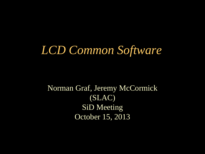#### *LCD Common Software*

Norman Graf, Jeremy McCormick (SLAC) SiD Meeting October 15, 2013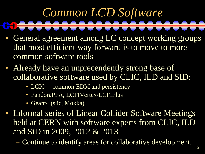## *Common LCD Software*

- General agreement among LC concept working groups that most efficient way forward is to move to more common software tools
- Already have an unprecendently strong base of collaborative software used by CLIC, ILD and SID:
	- LCIO common EDM and persistency
	- PandoraPFA, LCFIVertex/LCFIPlus
	- Geant4 (slic, Mokka)

• Informal series of Linear Collider Software Meetings held at CERN with software experts from CLIC, ILD and SiD in 2009, 2012 & 2013

– Continue to identify areas for collaborative development.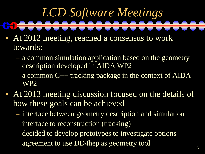## *LCD Software Meetings*

- At 2012 meeting, reached a consensus to work towards:
	- a common simulation application based on the geometry description developed in AIDA WP2
	- a common C++ tracking package in the context of AIDA WP2
- At 2013 meeting discussion focused on the details of how these goals can be achieved
	- interface between geometry description and simulation
	- interface to reconstruction (tracking)
	- decided to develop prototypes to investigate options
	- agreement to use DD4hep as geometry tool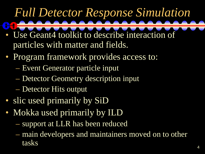#### *Full Detector Response Simulation*

- Use Geant4 toolkit to describe interaction of particles with matter and fields.
- Program framework provides access to:
	- Event Generator particle input
	- Detector Geometry description input
	- Detector Hits output
- slic used primarily by SiD
- Mokka used primarily by ILD
	- support at LLR has been reduced
	- main developers and maintainers moved on to other tasks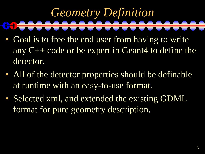## *Geometry Definition*

- Goal is to free the end user from having to write any C++ code or be expert in Geant4 to define the detector.
- All of the detector properties should be definable at runtime with an easy-to-use format.
- Selected xml, and extended the existing GDML format for pure geometry description.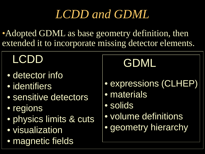#### *LCDD and GDML*

• Adopted GDML as base geometry definition, then extended it to incorporate missing detector elements.

#### LCDD

- detector info
- identifiers
- sensitive detectors
- regions
- physics limits & cuts
- visualization
- magnetic fields

#### GDML

- expressions (CLHEP)
- materials
- solids
- volume definitions
- geometry hierarchy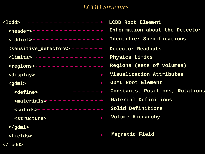#### *LCDD Structure*

| <1cdd>                                                                  | LCDD Root Element               |
|-------------------------------------------------------------------------|---------------------------------|
|                                                                         | Information about the Detector  |
|                                                                         | Identifier Specifications       |
|                                                                         | Detector Readouts               |
| $\verb llimits $                                                        | Physics Limits                  |
|                                                                         | Regions (sets of volumes)       |
|                                                                         | Visualization Attributes        |
|                                                                         | <b>GDML Root Element</b>        |
|                                                                         | Constants, Positions, Rotations |
| <materials> <materials> <materials></materials></materials></materials> | Material Definitions            |
| $\sim$ solids> $\sim$ $\sim$                                            | Solid Definitions               |
|                                                                         | Volume Hierarchy                |
| $\langle$ /gdml>                                                        |                                 |
| <fields></fields>                                                       | Magnetic Field                  |
|                                                                         |                                 |

**</lcdd>**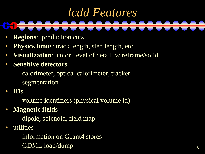### *lcdd Features*

- **Regions**: production cuts
- **Physics limits:** track length, step length, etc.
- **Visualization**: color, level of detail, wireframe/solid
- **Sensitive detectors**
	- calorimeter, optical calorimeter, tracker
	- segmentation
- **ID**s
	- volume identifiers (physical volume id)
- **Magnetic field**s
	- dipole, solenoid, field map
- utilities
	- information on Geant4 stores
	- GDML load/dump 8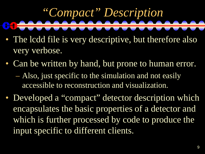## *"Compact" Description*

- The lcdd file is very descriptive, but therefore also very verbose.
- Can be written by hand, but prone to human error.
	- Also, just specific to the simulation and not easily accessible to reconstruction and visualization.
- Developed a "compact" detector description which encapsulates the basic properties of a detector and which is further processed by code to produce the input specific to different clients.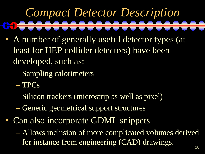## *Compact Detector Description*

- A number of generally useful detector types (at least for HEP collider detectors) have been developed, such as:
	- Sampling calorimeters
	- TPCs
	- Silicon trackers (microstrip as well as pixel)
	- Generic geometrical support structures
- Can also incorporate GDML snippets
	- Allows inclusion of more complicated volumes derived for instance from engineering (CAD) drawings.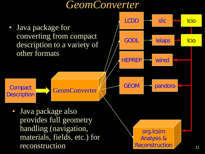#### *GeomConverter* **Compact Description** org.lcsim Analysis & Reconstruction • Java package for converting from compact description to a variety of other formats HEPREP wired  $LCDD \implies$  slic  $\implies$  Icio GODL **lelaps R** Icio GEOM **pandora** • Java package also provides full geometry handling (navigation, materials, fields, etc.) for reconstruction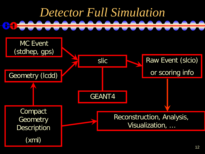

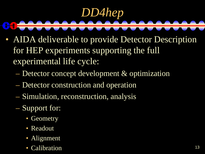#### *DD4hep*  $\bullet$

- AIDA deliverable to provide Detector Description for HEP experiments supporting the full experimental life cycle:
	- Detector concept development & optimization
	- Detector construction and operation
	- Simulation, reconstruction, analysis
	- Support for:
		- Geometry
		- Readout
		- Alignment
		- Calibration 13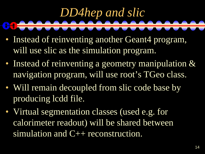# *DD4hep and slic*

- Instead of reinventing another Geant4 program, will use slic as the simulation program.
- Instead of reinventing a geometry manipulation & navigation program, will use root's TGeo class.
- Will remain decoupled from slic code base by producing lcdd file.
- Virtual segmentation classes (used e.g. for calorimeter readout) will be shared between simulation and C++ reconstruction.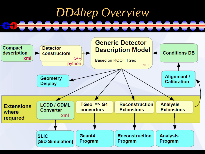

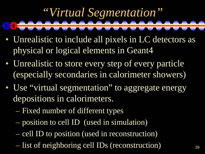## *"Virtual Segmentation"*

- Unrealistic to include all pixels in LC detectors as physical or logical elements in Geant4
- Unrealistic to store every step of every particle (especially secondaries in calorimeter showers)
- Use "virtual segmentation" to aggregate energy depositions in calorimeters.
	- Fixed number of different types
	- position to cell ID (used in simulation)
	- cell ID to position (used in reconstruction)
	- list of neighboring cell IDs (reconstruction) 16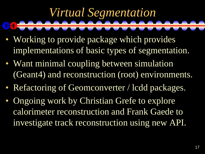#### *Virtual Segmentation*

- Working to provide package which provides implementations of basic types of segmentation.
- Want minimal coupling between simulation (Geant4) and reconstruction (root) environments.
- Refactoring of Geomconverter / lcdd packages.
- Ongoing work by Christian Grefe to explore calorimeter reconstruction and Frank Gaede to investigate track reconstruction using new API.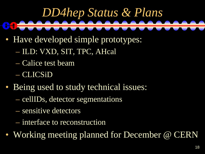## *DD4hep Status & Plans*

- Have developed simple prototypes:
	- ILD: VXD, SIT, TPC, AHcal
	- Calice test beam
	- CLICSiD
- Being used to study technical issues:
	- cellIDs, detector segmentations
	- sensitive detectors
	- interface to reconstruction
- Working meeting planned for December @ CERN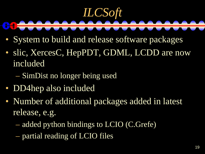#### *ILCSoft*  $\bullet$

- System to build and release software packages
- slic, XercesC, HepPDT, GDML, LCDD are now included
	- SimDist no longer being used
- DD4hep also included
- Number of additional packages added in latest release, e.g.
	- added python bindings to LCIO (C.Grefe)
	- partial reading of LCIO files